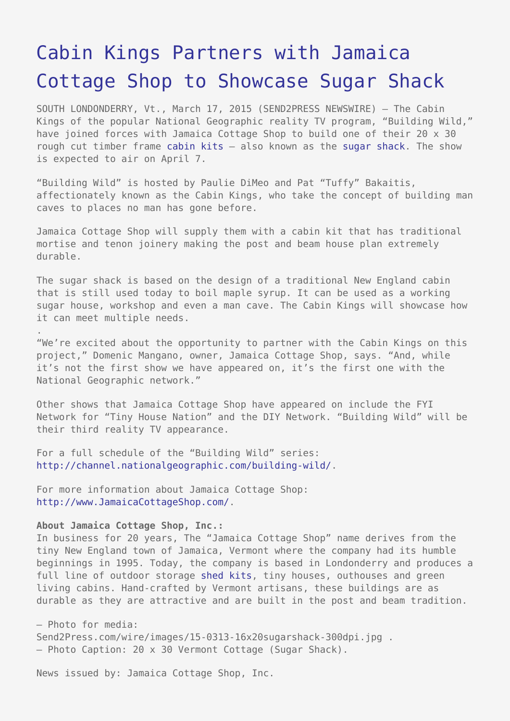## [Cabin Kings Partners with Jamaica](https://www.send2press.com/wire/cabin-kings-partners-with-jamaica-cottage-shop-to-showcase-sugar-shack-2015-0317-003/) [Cottage Shop to Showcase Sugar Shack](https://www.send2press.com/wire/cabin-kings-partners-with-jamaica-cottage-shop-to-showcase-sugar-shack-2015-0317-003/)

SOUTH LONDONDERRY, Vt., March 17, 2015 (SEND2PRESS NEWSWIRE) — The Cabin Kings of the popular National Geographic reality TV program, "Building Wild," have joined forces with Jamaica Cottage Shop to build one of their 20 x 30 rough cut timber frame [cabin kits](http://www.jamaicacottageshop.com/shop/20x30-cabin-2/) – also known as the [sugar shack.](http://jamaicacottageshop.com/shop/sugar-shack-option-c/) The show is expected to air on April 7.

"Building Wild" is hosted by Paulie DiMeo and Pat "Tuffy" Bakaitis, affectionately known as the Cabin Kings, who take the concept of building man caves to places no man has gone before.

Jamaica Cottage Shop will supply them with a cabin kit that has traditional mortise and tenon joinery making the post and beam house plan extremely durable.

The sugar shack is based on the design of a traditional New England cabin that is still used today to boil maple syrup. It can be used as a working sugar house, workshop and even a man cave. The Cabin Kings will showcase how it can meet multiple needs.

"We're excited about the opportunity to partner with the Cabin Kings on this project," Domenic Mangano, owner, Jamaica Cottage Shop, says. "And, while it's not the first show we have appeared on, it's the first one with the National Geographic network."

Other shows that Jamaica Cottage Shop have appeared on include the FYI Network for "Tiny House Nation" and the DIY Network. "Building Wild" will be their third reality TV appearance.

For a full schedule of the "Building Wild" series: [http://channel.nationalgeographic.com/building-wild/.](http://channel.nationalgeographic.com/building-wild/)

For more information about Jamaica Cottage Shop: [http://www.JamaicaCottageShop.com/.](http://www.JamaicaCottageShop.com/)

## **About Jamaica Cottage Shop, Inc.:**

.

In business for 20 years, The "Jamaica Cottage Shop" name derives from the tiny New England town of Jamaica, Vermont where the company had its humble beginnings in 1995. Today, the company is based in Londonderry and produces a full line of outdoor storage [shed kits](http://www.jamaicacottageshop.com/product-category/sheds/), tiny houses, outhouses and green living cabins. Hand-crafted by Vermont artisans, these buildings are as durable as they are attractive and are built in the post and beam tradition.

– Photo for media: Send2Press.com/wire/images/15-0313-16x20sugarshack-300dpi.jpg . – Photo Caption: 20 x 30 Vermont Cottage (Sugar Shack).

News issued by: Jamaica Cottage Shop, Inc.